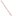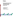

# **Environmental Technology Verification Program**  Advanced Monitoring Systems Pilot

Test/QA Plan for Verification of Portable Analyzers

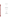# **TEST/QA PLAN**

**for** 

## **VERIFICATION OF PORTABLE ANALYZERS**

**December 8, 2000** 

**Prepared by** 

**Battelle 505 King Avenue Columbus, OH 43201-2693**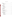# **TABLE OF CONTENTS**

| 4<br>F |  |
|--------|--|
|        |  |
| E      |  |
| נ      |  |
| Ŏ<br>ŗ |  |
| i<br>F |  |
| Ę<br>j |  |
| o<br>G |  |
| ◅<br>é |  |
| ſ<br>ι |  |
|        |  |

## Page

|  | 4.3 Sample Analysis |  |
|--|---------------------|--|
|  |                     |  |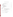## **TABLE OF CONTENTS (CONTINUED)**

| <b>APPENDIX A</b> |                                                                |
|-------------------|----------------------------------------------------------------|
| <b>APPENDIX B</b> | Battelle Standard Operating Procedure for At-Sea Collection of |

## **LIST OF TABLES**

## **LIST OF FIGURES**

|--|--|--|--|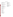#### **DISTRIBUTION LIST**

Ms. Elizabeth A. Betz U.S. Environmental Protection Agency National Exposure Research Laboratory MD-44 Research Triangle Park, NC 27711

Mr. Robert Fuerst U.S. Environmental Protection Agency National Exposure Research Laboratory MD-46 Research Triangle Park, NC 27711

Ms. Elizabeth Hunike Quality Assurance Specialist U.S. Environmental Protection Agency National Exposure Research Laboratory ERC Annex, MD-46 Research Triangle Park, NC 27711

Mr. Raymond Loebker USEPA Facilities 26 West Martin Luther King Drive MS 525 Cincinnati, OH 45268

Mr. Geoff Dates River Watch Network RR 1 Box 209 Hartland, VT 05048

Ms. Marty Link Groundwater Section Nebraska Dept. of Environmental **Quality** The Atrium, 1200 N St. Ste. 400, P.O. Box 98922 Lincoln, NE 68509-8922

Mr. Vito Minei Acting Director, Division of Environmental Quality Suffolk County, NY, Department of Health Services 220 Rabro Drive Hauppauge, NY 11788

Dennis Goldman, Ph.D., R.G. Executive Director for IEE & Program Development Officer The Geological Society of America 3300 Penrose Place P.O. Box 9140 Boulder, CO 80301-9140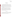#### **1.0 INTRODUCTION**

#### **1.1 Test Description**

This test/quality assurance (QA) plan provides procedures for a verification test of portable analysis technologies that determine various contaminants in water. The verification test will be conducted under the auspices of the U.S. Environmental Protection Agency (EPA) through the Environmental Technology Verification (ETV) program. The purpose of ETV is to provide objective and quality assured performance data on environmental technologies, so that users, developers, regulators, and consultants can make informed decisions about purchasing and applying these technologies.

The verification test will be performed by Battelle, of Columbus, Ohio, which is managing the ETV Advanced Monitoring Systems (AMS) Center through a cooperative agreement with EPA. The scope of the AMS Center covers verification of monitoring technologies for contaminants and natural species in air, water, and soil. In performing the verification test, Battelle will follow the procedures specified in this test/QA plan, and will comply with the data quality requirements in the "Quality Management Plan for the ETV Advanced Monitoring Systems Pilot" (QMP).<sup>1</sup>

#### **1.2 Test Objective**

The verification of portable water analyzers will be conducted to quantify the analytical and operational performance characteristics of these technologies. A variety of quality control, performance evaluation, and environmental water samples will be analyzed to assess the capabilities of the analyzers relative to accepted reference methods.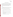#### **1.3 Organization and Responsibility**

The verification test will be performed by Battelle with the participation of the interested vendors who will be having their analyzers verified. The testing will occur at Battelle's Columbus, Ohio laboratories, at local waterways within Columbus, and at Massachusetts Bay near Duxbury, Massachusetts. The organizational chart below shows the individuals from Battelle, the vendor companies and the EPA who will have responsibilities in the verification test. The specific responsibilities of these individuals are detailed in Figure 1.

#### **1.3.1 Battelle**

Mr. Adam Abbgy is the AMS Center Verification Testing Coordinator. In this role, Mr. Abbgy will have overall responsibility for ensuring that the technical, schedule, and cost goals established for the verification test are met. More specifically, Mr. Abbgy will:

- Assemble a team of qualified technical staff to conduct the verification test.
- Direct the team in performing the verification test in accordance with the test/QA plan.
- Ensure that all quality procedures specified in the test/QA plan and in the QMP are followed.
- Prepare the draft test/QA plan, verification reports, and verification statements.
- Revise the draft test/QA plan, verification reports, and verification statements in response to reviewers' comments.
- Respond to any issues raised in assessment reports and audits, including instituting corrective action as necessary.
- Serve as the primary point of contact for vendor representatives.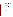

**Figure 1. Organization Chart for the Verification Test**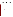- Establish a budget for the verification test and monitor staff effort to ensure that budget is not exceeded.
- • Ensure that confidentiality of vendor information is maintained.

Dr. Thomas J. Kelly is the Verification Testing Leader for the AMS Center. As such, Dr. Kelly will provide technical guidance and oversee the various stages of verification testing. He will:

- Support Mr. Abbgy in preparing the test/QA plan and organizing the testing.
- Review the draft test/QA plan.
- Review the draft verification reports and statements.

Ms. Karen Riggs is Battelle's manager for the AMS Center. As such, Ms. Riggs will:

- Review the draft test/QA plan.
- Review the draft verification reports, and verification statements.
- Coordinate distribution of the final test/QA plan, verification reports and statements.
- Ensure that necessary Battelle resources, including staff and facilities, are committed to the verification test.
- • Ensure that vendor confidentiality is maintained.
- Support Mr. Abbgy in responding to any issues raised in assessment reports and audits.
- Maintain communication with EPA's technical and quality managers.

Battelle Technical Staff will conduct the testing of the analyzers during the verification test and associated experimental activities. The responsibilities of these technical staff include: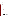- Assist in the collection of samples.
- Analyze samples for the verification test as described in this test/QA plan.

Mr. Chuck Lawrie is Battelle's Quality Manager for the AMS Center. As such Mr. Lawrie will:

- Review the draft test/OA plan.
- Conduct a technical systems audit once during the verification test.
- Audit at least  $10\%$  of the verification data.
- Prepare and distribute an assessment report for each audit.
- Verify implementation of any necessary corrective action.
- Issue a stop work order if self audits indicate that data quality is being compromised; notify Battelle's Center Manager if stop work order is issued.
- Provide a summary of the quality assurance/quality control (QA/QC) activities and results for the verification reports.
- Review the draft verification reports and statements.
- Have an overall responsibility for ensuring that the test/QA plan is followed.

## **1.3.2 Vendors**

Vendor representatives will:

- Review the draft test/OA plan.
- Approve the test/QA plan.
- Provide two off-the-shelf models of the analyzers to be verified for the duration of the verification test.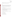- If necessary, instruct Battelle personal on how to operate and maintain the analyzers prior to testing.
- Review their respective draft verification report and statement.

## **1.3.3 EPA**

EPA's responsibilities in the AMS Center are based on the requirements stated in the "Environmental Technology Verification Program Quality and Management Plan of the Pilot Period (1995-2000)" (QAMP). The roles of the specific EPA staff are as follows:

Ms. Elizabeth Betz is EPA's Quality Manager. For the verification test, Ms. Betz will:

- Review the draft test/QA plan.
- Perform at her option one external technical system audit during the verification test.
- Notify the Battelle AMS Center Manager to facilitate a stop work order if external audit indicates that data quality is being compromised.
- Prepare and distribute an assessment report summarizing results of external audit.
- Review draft verification reports and statements.

Mr. Robert Fuerst is EPA's manager for the AMS Center. As such, Mr. Fuerst will:

- Review the draft test/QA plan.
- Approve the final test/QA plan.
- Approve the final verification reports.
- Review the draft verification statements.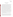#### **2.0 VERIFICATION APPROACH**

#### **2.1 Scope of Testing**

This test/QA plan specifically addresses verification testing of 1) portable analyzers that provide quantitative measurements of metals and other inorganic contaminants in water, and 2) portable test kits that provide qualitative or semi-quantitative measurements. The quantitative analyzers consist of a portable electronic instrument that often requires a specific reagent solution. Typically the reagent and the water sample are mixed, and the mixture is inserted into the analyzer and probed either photometrically or electrochemically to provide a quantitative determination of the target contaminant. These analyzers report results via a digital display or electronic output signal. Technologies which provide only qualitative results are typically test strips or reagent solutions, which when exposed to the water sample indicate the presence of the analyte through a visible color change. These approaches are designed primarily to indicate the presence or absence of the target analyte relative to some regulatory or health-based concentration level. Semi-quantitative results can be obtained using these same technologies, by comparison of the color to that of standards run with the samples or to a color comparison chart provided by the manufacturer. These comparators typically have discrete color levels indicating different analyte concentrations, and the results are based on subjective visual comparisons made by the user. In some cases quantitative results can be obtained by submitting the samples to a laboratory and analyzing them with a colorimeter. Both quantitative and qualitative analyzers are designed to be operated by non-technical users.

Each of these technologies, whether quantitative or qualitative, may be capable of detecting a variety of aqueous analytes including dissolved metals, and other inorganic cations and anions.

The verification of all portable water analyzers will involve testing them with known calibration standards, and through the analysis of realistic samples by both the analyzers being verified and appropriate reference methods. Statistical comparisons of the analytical results from the reference methods and the analyzers being verified will provide a basis for quantitative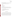performance evaluations of the analyzers. Each of the analyzers will also be evaluated in terms of ease of use, cost, and sample throughput.

The quantitative analyzers (and semi-quantitative technologies) provide at least some measure of the analyte concentration, and will be evaluated in terms of:

- accuracy
- precision
- linearity
- method detection limit
- matrix interference effects
- operator bias.

The purely qualitative technologies indicate only the presence or absence of a color change associated with a given analyte. The color change can be semi-quantified by comparison to a color chart. As such, the performance of these technologies will be verified in terms of:

- rate of false positives/false negatives
- lowest calibration concentration producing a positive response
- highest calibration concentration producing a negative response
- matrix interference effects
- operator bias.

## **2.2 Experimental Design**

Two units of each water analyzer being tested will undergo verification testing. The verification results for the two units will be reported, and intercompared to assess unit-to-unit reproducibility. The verification test will involve challenging the analyzers being verified with a variety of test samples, including a set of fresh water samples and a set of salt water samples representative of those likely to be analyzed using these devices. All samples will be analyzed by the analyzers being verified, and by an appropriate reference method. Comparison of the results from the analyzers to those from the reference method will be used to quantitatively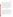assess accuracy, linearity, and detection limit. Multiple aliquots of each test sample will be analyzed separately to assess precision. For each analyzer, identical sets of samples will be analyzed independently by two separate operators (a technical and a non-technical Battelle staff member) to test for the existence of operator bias on analyzer performance. The analyzers are designed for non-technical operators. The non-technical staff member will have little prior knowledge of the analyzer being verified. Interferences and matrix effects will be assessed by separately evaluating accuracy, precision, and linearity on distinctly different sample matrices, i.e., prepared samples, drinking water, fresh water, and salt water samples. Sample throughput will be estimated based on the time required to analyze a sample set. Performance parameters, such as ease of use and reliability, will be based on documented observations of the operators. Each analyzer will be used in a field environment, as well as in a laboratory setting, to assess the impact of field conditions on performance. Unit-to-unit reproducibility will be evaluated by intercomparing results from two units of each technology tested.

#### **2.3 Test Samples**

Test samples to be used in this verification test will include quality control (QC) samples, performance test (PT) samples, and environmental water samples. Tables listing the number and type of different samples to be analyzed for selected analytes are provided in Appendix A. The QC and PT samples will be prepared from purchased standards. The QC sample concentrations for most analytes will be targeted to the EPA maximum contaminant level (MCL) for drinking water or other regulatory guidelines as are applicable. The PT samples will cover the range from 10 percent to 1000 percent of that guideline level. The environmental water samples indicated in Appendix A will be collected from various drinking water and surface water sources. All samples will be analyzed both by the two units of each analyzer undergoing testing, and by a laboratory reference method. Every tenth sample will be analyzed twice by the reference method, to assess the reference method's precision.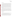#### **2.3.1 QC Samples**

Prepared QC samples will include both laboratory reagent blanks (RB), and laboratory fortified matrix (LFM) samples. The RB samples will be prepared from ASTM type II deionized water and will be exposed to identical handling and analysis procedures as other prepared samples, including the addition of all reagents. These samples will be used to help ensure that no sources of contamination are introduced in the sample handling and analysis procedures. The LFM samples will be prepared as aliquots of environmental samples, spiked in the field to increase the analyte concentration by 10 ppb. The spike solution used to prepare the LFM will be prepared in the laboratory and brought to the field site. These samples will be used to help identify if matrix effects have an influence on the analytical results. At least 10% of all the prepared samples to be analyzed will be RBs and at least one sample taken from each sampling site will be an LFM.

Quality control standards (QCS) will be used as a calibration check to verify that the analyzers being verified and the reference instruments are properly calibrated and reading within defined control limits. These standards will be purchased from a commercial supplier and subject only to dilution as appropriate. The calibration of all instruments will be verified using a QCS before and after the testing period, as well as after every tenth sample. Additional standards will also be purchased from an independent supplier, for use in a performance evaluation audit, as described in Section 6.2.1.

## **2.3.2 PT Samples**

In general, two types of PT samples will be used in this verification test. All PT samples will be prepared in the laboratory using ASTM Type II water as the water source.

One type of PT solution will include only the single analyte at various concentrations and will be prepared specifically to help determine the analyzer accuracy, linearity, and detection limit. To determine the detection limit of the analyzers, a solution with a concentration five times the vendor's reported detection limit will be used. Seven nonconsecutive replicate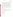analyses of this solution will be made to obtain precision data with which to determine the method detection limit (Appendix A). Additionally, solutions will be prepared to assess the linearity over a broad concentration range. Four aliquots of each of these solutions will be prepared and analyzed separately, to assess the precision of the analyzers (Appendix A).

The second type of PT sample to be used in this test will help establish the effects of potential matrix interferences on the performance of the analyzers. These samples will be prepared from solutions with known concentrations of the analytes (see Appendix A), and will be spiked with potentially interfering species likely to be found in typical water samples. The first sample will contain low levels of interferences which will consist of 1 mg iron, 3 mg sodium chloride, and 0.1 mg of sulfate per liter at a pH of 6. The second sample will contain high levels of interferences which will consist of 10 mg iron, 30 mg sodium chloride, and 1.0 mg of sulfate per liter at a pH of 3. Four replicate samples of each of these solutions will be analyzed.

#### **2.3.3 Environmental Samples**

Environmental samples, including tap water (well and community sources), fresh surface water, and salt water will be collected from a variety of sources, and will be used to evaluate technology performance. Samples will be collected from the following sources:

- Drinking fountain within Battelle
- Residential tap (community water)
- Residential tap (well water)
- Alum Creek Reservoir
- Olentangy River
- Scioto River
- Massachusetts Bay.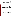In all cases the technologies undergoing verification will be used to analyze the water samples as soon as possible after collection. The results of those analyses will be compared to subsequent reference method analyses of the same samples in the laboratory. The drinking water samples from the Battelle drinking fountain and the two different residential sites will be collected directly from the tap into 2-L high density polyethylene (HDPE) containers. The samples will be split into 100-mL aliquots. Four aliquots of each sample will be analyzed at the time of collection by each of the analyzers being verified. Four aliquots of each sample will be returned to Battelle for reference analysis. These aliquots will be preserved and stored as appropriate for the target analyte and analyzed within appropriate holding times.

Fresh water samples from the reservoir and from each river will be collected in 500-mL HDPE containers. The samples will be collected at the surface of the water near the shoreline by submerging the containers no more than one inch below the surface of the water. The samples will be split into four 100-mL aliquots. Each body of water will be sampled at four distinct locations. Two aliquots of each sample will be analyzed in the field at the time of collection by the analyzers being verified. One aliquot of each sample will be returned to Battelle for reference analysis for each target analyte. This aliquot will be preserved and stored as necessary for the target analyte and analyzed within appropriate holding times.

Salt water samples will be collected from the Massachusetts Bay using a Rosette system as described in Battelle Duxbury Operations Standard Operating Procedure No. 5 27S-01 (Appendix B). Five 100-mL aliquots of each sample will be obtained for each analyzer undergoing testing. Samples will be collected from the surface of the bay and from the sediment/water column interface at four distinct locations. One aliquot of each sample will be analyzed at the time of collection by each unit of the analyzer being verified, and by each operator. One aliquot of each sample will be returned to Battelle in Columbus, OH for analysis by the reference method.

The field testing will occur on three separate days. These days do not need to be consecutive. One day will be used to collect and test tap water within Battelle, at a residential site using community water, and at a residential site using well water. A second will be spent collecting and testing fresh water samples from the Scioto and Olentangy Rivers which are near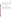Battelle's Columbus facilities, and from Alum Creek Reservoir north of Columbus. A third day will be spent collecting salt water samples from aboard a boat in the Massachusetts Bay. In these field testing efforts, the technologies being verified will be transported, handled, and used under normal field conditions, as a test of real-world reliability and performance. Field conditions (temperature, humidity, weather conditions) will be noted at least twice on each day of field testing.

#### **2.4 Reference Method**

Technology verification will involve, in part, comparison of the results from each analyzer being verified to the results obtained from an appropriate reference method. The reference method chosen for this verification test is an EPA standard method for the analysis of water. Samples containing metal ions will be analyzed using inductively-coupled plasma mass spectrometry (ICP-MS) according to EPA Method  $200.8$ .<sup>2</sup> Samples containing anions will be analyzed using ion chromotography (IC) according to EPA Method 300.13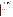## **3.0 MATERIALS AND EQUIPMENT**

In general, this verification test relies on the materials and equipment provided by the vendors. Battelle will provide the following equipment and materials.

## **3.1 Laboratory Supplies**

The following laboratory supplies will be needed for the preparation of the PT samples and the QC samples:

- ASTM type II water
- trace metal grade nitric acid
- 1-L, 250-mL, 100-mL Class A volumetric flask
- 10-mL Class A volumetric pipets
- 0.5-mL, 1.0-mL micro pipets
- Micro pipet tips
- NIST traceable reference standard for target analyte
- 100 ppm iron standard
- sodium chloride
- sodium sulfate
- HDPE containers
- pH meter or strips capable of reading pH levels of 6 and 3.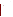## **3.2 Field Supplies**

The following supplies will be needed for the collection of field samples:

- ASTM type II water
- 125-mL, 500-mL, 1000-mL HDPE containers
- 1-mL micro pipet
- 1-mL micro pipet tips
- 100-mL HDPE volumetric flasks.
- Coolers and blue ice packs for sample storage
- Thermometer (to determine air and water temperature)

## **3.3 Reference Instrument**

The reference method for analysis of metal will be performed on a Perkin Elmer Sciex 6000 ICP-MS or equivalent. The reference method for anions will be performed on a Dionex 600 Ino Chromatograph or equivalent.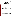#### **4.0 PROCEDURES**

#### **4.1 Test Sample Preparation and Storage**

QC and PT samples will be prepared from commercially available NIST traceable standard solutions. Purchased solutions will be diluted to appropriate concentrations using distilled, deionized water in Class A volumetric glassware. In some cases, additional species will be added to the solutions to assess the effect of interferences on the performance of the technologies. These interferences will be added to simulate levels of contaminants which may be found in typical water sources. The QC and PT samples will be prepared within two days of analysis, and stored at approximately  $4^{\circ}$ C until use.

Environmental water samples will be collected from the sources indicated in Section 2.3.3, and will be stored in HDPE containers. Sample analysis will be performed at the time of collection by the analyzers being verified. The samples to be analyzed by the reference methods will be stored at  $4^{\circ}$ C until analysis and preserved with nitric acid at a pH of less than 2 for metal analytes. The reference analyses will be performed within 14 days of collection or the field sampling will be repeated.

#### **4.2 Sample Identification**

Aliquots to be analyzed will be drawn from the prepared standard solutions or from environmental samples and placed in uniquely identified sample containers for subsequent analysis. The sample containers will be identified by a unique identification (ID) number. A master log of the samples and sample ID numbers for each analyzer will be kept by Battelle. The ID number, date, person collecting, sample location, and time of collection will be recorded on a chain- of-custody form for all field samples.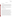#### **4.3 Sample Analysis**

#### **4.3.1 Reference Method**

The reference instrument will be operated according to the recommended procedures in the instruction manual, and samples will be analyzed according to an appropriate reference method. Analysis for metals will be conducted according to EPA Method 200.8, "Determination of Trace Elements in Waters and Wastes by Inductively Coupled Plasma - Mass Spectrometry."<sup>2</sup> Analysis for anions will be performed using EPA Method 300.1 "Determination of Inorganic Anions by Ion Chromotography".

Results from the reference analyses will be recorded electronically and compiled by the laboratory performing the analyses into a report format, including the sample ID and the analyte concentration for each sample.

#### **4.3.2 Analyzers Undergoing Verification**

Each vendor will be required to provide two units of his portable water analyzer. Each unit will be subjected to the test procedure independently, and separate verification results will be reported for each unit. Those results will then be intercompared to assess unit-to-unit reproducibility. Each of the analyzers being verified will be used to analyze the full set of samples for the target analyte chosen by the respective vendor. As shown in Tables 1 and 2, the sample set will include replicates of each of the PT, QC, and environmental samples. Analysis of the complete set of samples will be performed twice for each of the analyzers — once by a nontechnical staff member of Battelle, and once by a technical staff member using the same sample aliquot. The analyses will be performed according to the manufacturer's recommended procedures as described in the user's instructions or manual for the respective analyzers. Calibration and maintenance of the analyzers will be performed as specified by the manufacturer.

Results from the analyzers being verified will be recorded manually by the operator on appropriate data sheets. In addition to the analytical results, the data sheets will include records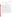of the time required for sample analysis and operator observations concerning the use of the analyzer (i.e., frequency of calibration, ease of use, maintenance, etc.).

#### **4.4 Schedule**

The verification test described here will take place over a four-day period at Battelle's laboratories in Columbus, Ohio, followed by a one-day period at Battelle's Ocean Sciences Laboratory in Duxbury Massachusetts. The one-day period need not follow immediately after the four-day period. Table 1 lists the activities to be conducted on those test days. The samples referred to in Table 1 are those listed in Appendix A.

All participating analyzers will undergo verification testing on the same days. The same samples analyzed by the instruments undergoing testing will be analyzed by the reference method. All analyzers being tested for a given analyte will be challenged with the same set of samples. Separate aliquots will be drawn from a single sample for each type of technology. No direct comparison will be made between the results from different analyzers; however, it is to the benefit of potential users of the analyzers that test conditions be as similar as possible.

It will be necessary for participating vendors to provide their analyzers to Battelle one week before the start of testing, so that project staff may become familiar with operating the units before testing begins. This period will also be used to clarify any questions about the analyzer's operation or maintenance. Vendor staff may need to be present for this familiarization stage to provide training in operating the analyzers. During the verification test, all analyzers will be operated by Battelle staff. Vendors are encouraged to stay and observe during the duration of the tests. Analyzers and associated equipment (if not consumables) will be returned to the vendors at the completion of testing.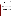# **Testing**  Test Day | Location | Activity Day One Battelle Analysis of PT samples and associated QC samples with Columbus | operator #1. Laboratory Day Two Battelle Analysis of PT samples and associated QC samples with Columbus | operator #2. Laboratory Day Three  $\parallel$  Columbus Field  $\parallel$  Collection and analysis of environmental samples and LFM Location Samples at four tap water locations. Day Four | Columbus Field | Collection and analysis of environmental samples and LFM Location samples at four locations within three fresh water sites. Day Five Transport to Shipping and handling of analyzers undergoing verification Battelle to field test site. Duxbury, Mass Day Duxbury, Mass Collection and analysis of environmental samples and LFM Six Field Location samples at salt water locations; shipping of environmental samples to Columbus for subsequent reference analysis.

## **Table 1. Schedule of Verification Test Days**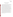## **5.0 DATA HANDLING AND REPORTING**

#### **5.1 Data Acquisition and Review**

A variety of data will be acquired and recorded electronically or manually by Battelle staff in this verification test. Operation, maintenance, and results from the analyzers being verified and sampling procedures, will generally be documented on data sheets or in laboratory record books. Results from the reference instruments will be compiled in electronic format.

Records received by or generated by Battelle staff in the verification test will receive a oneover-one review within two weeks after receipt or generation, respectively, before these records are used to calculate, evaluate, or report verification results. These records may include electronic records; laboratory record books; sampling records from the field test; or equipment calibration records. This review will be performed by a Battelle technical staff member involved in the verification test, but not the staff member that originally received or generated the record. The review will be documented by the person performing the review by adding his/her initials and date to a hard copy of the record being reviewed. This hard copy will then be returned to the Battelle staff member who received or generated or who will be storing the record.

In addition, data calculations performed by Battelle will be spot-checked by Battelle technical staff to ensure that calculations are performed correctly. Calculations to be checked include reference analysis results and statistical calculations described in this test/QA plan.

The data obtained from this verification test will be compiled and reported independently for each analyzer being verified. No intercomparison of the results from one vendor's technology to another's will be made. However, intercomparisons will be made between the results for duplicate analyzers from each vendor.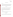#### **5.2 Statistical Calculations**

#### **5.2.1 Accuracy**

Accuracy of the analyzers being verified will be assessed relative to the results obtained from the reference analyses. Samples will be analyzed by both the reference method and the analyzers being verified. The results for each set of analyses will be averaged, and the accuracy will be expressed in terms of a relative average bias (B) as calculated from the following equation:

$$
B = \frac{d}{\overline{C}_R} \times 100
$$
 (2)

where  $\overline{d}$  is the average difference between the readings from the analyzer being verified and those from the reference method, and  $\overline{C_R}$  is the average of the reference measurements. Accuracy will be assessed independently for each analyzer to determine inter-unit reproducibility. Additionally, the results will be analyzed independently for the readings obtained from the two operators to determine if significant operator bias exists.

#### **5.2.2 Precision**

The standard deviation (S) of the results for the replicate samples will be calculated and used as a measure of instrumental precision at each concentration.

$$
S = \left[\frac{1}{n-1} \sum_{k=1}^{n} \left(C_k - \overline{C}\right)^2\right]^{1/2} \tag{3}
$$

where n is the number of replicate samples (see Table 1),  $C_k$  is the concentration measured for the k<sup>th</sup> sample, and  $\overline{C}$  is the average concentration of the replicate samples. The instrumental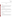precision at each concentration will be reported in terms of the relative standard deviation (RSD), e.g.,

$$
RSD = \left| \frac{S}{C} \right| \times 100 \tag{4}
$$

#### **5.2.3 Linearity**

Linearity will be assessed by linear regression with the analyte concentration measured by the reference method as independent variable, and the reading from the analyzer being verified as dependent variable. Linearity will be expressed in terms of the slope, intercept, and the coefficient of determination  $(r^2)$ .

#### **5.2.4 Method Detection Limit**

The method detection limit  $(MDL)^3$  for each analyzer will be assessed from the seven replicate analyses of a fortified sample with an analyte concentration of five times the vendor's estimated detection limit (see Tables 1 and 2). The MDL will be calculated from the following equation:

$$
MDL = t \times S \tag{5}
$$

where *t* is the Student's value for a 99% confidence level, and S is the standard deviation of the replicate samples. The MDL values for the two units of each analyzer will be reported as separate results.

#### **5.2.5 Matrix Interferences**

The effect of interfering matrix species on the response of an analyzer to a given analyte will be calculated as the ratio of the difference in analytical response to the concentration of interfering species. For example, if the addition of 500 ppb of an interfering species results in a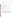difference of 10 ppb in the analytical result, the relative sensitivity of the analyzer to that interferent is calculated as 10 ppb/500 ppb =  $2\%$ .

#### **5.2.6 Operator Bias**

To assess operator bias for each analyzer, the results obtained from each operator will be compiled independently and subsequently compared. The existence of statistically significant operator bias will be assessed through a *t*-test of the data.

#### **5.2.7 Inter-Unit Reproducibility**

The results obtained from two identical units of each analyzer will be compiled independently for each analyzer and for each operator, and compared to assess inter-unit reproducibility. The results will be interpreted using a *t*-test to assess if significant differences exist between the units tested.

#### **5.2.8 Rate of False Positives/False Negatives**

The rate of false positives/false negatives of the qualitative analyzers for each analyte will be assessed relative to the guidance level. Analyte reported as being above that level by the analyzer being verified, but below that level by the reference method, will be considered a false positive. Analyte not reported as being above the guidance level by the analyzer being verified, but reported as above that level by the reference method, will be considered a false negative. The rate of false positives/false negatives will be expressed as a percentage of total samples analyzed for each matrix.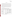#### **5.3 Data Review**

Records generated in the verification test will receive a one-over-one review within two weeks after generation, before these records are used to calculate, evaluate, or report verification results. Table 2 summarizes the types of data to be recorded. These records may include laboratory record books or reference method analytical results. This review will be performed by a Battelle technical staff member involved in the verification test, but not the staff member that originally generated the record. EPA/contractor and/or vendor staff will be consulted as needed to clarify any issues about the data records. The review will be documented by the person performing the review by adding his/her initials and date to a hard copy of the record being reviewed. This hard copy will then be returned to the Battelle staff member who generated or who will be storing the record.

| Data to be Recorded                                                                                            | <b>Responsible Party</b> | <b>Where Recorded</b>                                                                        | <b>How often Recorded</b>                                                                   | Disposition of data <sup>(a)</sup>                                                                     |
|----------------------------------------------------------------------------------------------------------------|--------------------------|----------------------------------------------------------------------------------------------|---------------------------------------------------------------------------------------------|--------------------------------------------------------------------------------------------------------|
| Dates, times of test<br>events                                                                                 | <b>Battelle</b>          | Laboratory record<br><b>books</b>                                                            | Start/end of test, and at<br>each change of a test<br>parameter.                            | Used to organize/check test<br>results; manually<br>incorporated in data<br>spreadsheets as necessary. |
| Test parameters<br>(temperature, analyte/<br>interferant identities<br>and concentrations.<br>gas flows, etc.) | <b>Battelle</b>          | Laboratory record<br><b>books</b>                                                            | When set or changed,<br>or as needed to<br>document stability.                              | Used to organize/check test<br>results, manually<br>incorporated in data<br>spreadsheets as necessary. |
| Reference method<br>sampling data                                                                              | <b>Battelle</b>          | Laboratory record<br>books                                                                   | At least at start/end of<br>reference sample, and<br>at each change of a test<br>parameter. | Used to organize/check test<br>results; manually<br>incorporated in data<br>spreadsheets as necessary. |
| Reference method<br>sample analysis, chain<br>of custody, and results                                          | <b>Battelle</b>          | Laboratory record<br>books, data sheets,<br>or data acquisition<br>system, as<br>appropriate | Throughout sample<br>handling and analysis<br>process                                       | Transferred to spreadsheets                                                                            |

**Table 2. Summary of Data Recording Process for the Verification Test** 

(a) All activities subsequent to data recording are carried out by Battelle.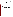#### **5.4 Reporting**

The data obtained in the verification test will be compiled separately for each vendor's analyzer, and the statistical evaluations described in Section 4 will be applied to each data set without reference to any other. At no time will data from different vendor's analyzers be intercompared or ranked. Following completion of the statistical evaluations, a draft verification report will be prepared for each vendor's analyzer, stating the verification test procedures and documenting the performance observed. The draft verification reports will each be submitted to the respective vendors for review and comments. The comments provided by each vendor on his draft verification report will be the basis for revision of that report. The revised reports will then be submitted to EPA and AMS Center stakeholders for peer review. The reports will then be revised again to address the peer review comments and submitted for final EPA approval.

In parallel with preparation of the verification reports will be preparation of the verification statement for each analyzer. The verification statement is a two- to three-page summary of the technology, the test procedures, and the test results. Each draft verification statement will be submitted to the respective vendor for review, and then will follow the same revision and EPA review process as the reports. Upon approval by EPA, each verification statement will be signed by a senior manager of Battelle and by an EPA laboratory director. Final verification reports and statements will be posted on the ETV website (http://www.epa.gov/etv), and original signed verification statements will be provided to the respective vendors for use in marketing their products.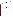#### **6.0 QUALITY ASSURANCE /QUALITY CONTROL**

The QA/QC activities associated with this verification test will focus primarily on reference analysis, sample preparation and handling, and data recording and analysis. An independent audit covering each of these areas will be performed by the Battelle Quality Manager to ensure the quality of the verification test.

#### **6.1 QC of Reference Method**

Analysis of QC samples throughout the verification test will be used to document the performance of the reference methods. RB samples will be analyzed to ensure that no sources of contamination are present. If the analysis of an RB sample indicates a concentration above the MDL for the reference instrument, contamination will be suspected. Any contamination source(s) will be corrected, and proper blank readings will be achieved, before proceeding with the verification test.

The accuracy of the reference methods will be verified before the beginning and after the conclusion of each testing day. The instruments to be used for reference will be initially calibrated according to the procedures specified in the reference method. The instrument calibration will be verified using an appropriate QCS. If the QCS analysis differs by more than  $\pm 10\%$  from the true value of the standard, the instrument will be recalibrated before continuation of the test. LFM samples will be analyzed to assess if matrix effects influence the results of the reference methods. The percent recovery  $(R)$  of the spiked solution will be calculated from the following equation:

$$
R = \frac{C_s - C}{s} \times 100\tag{6}
$$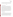where  $C_s$  is the analyzed concentration of the spiked sample, C is the analyzed concentration of the unspiked sample, and s is the concentration equivalent of the analyte spike. If the percent recovery of an LRM falls outside the range from 85-115%, a matrix effect will be suspected.

#### **6.2 Audits**

#### **6.2.1 Performance Evaluation Audit**

A performance evaluation (PE) audit will be conducted to assess the quality of the reference measurements made in this verification test. A performance evaluation audit involves challenging the instruments used for reference methods with standards that are independent of those used to calibrate the instruments for the test. For the PE audit, an independent standard will be obtained from a vendor that is different from the one that supplied the QC standards. This comparison of the QC and performance evaluation standards will be done once during the verification test, on the day that the portable analyzers are in transit to the Massachusetts field sampling location. Agreement of the standards within 10% is required for the measurements to be considered as acceptable. Failure to achieve this agreement will trigger recalibration of the instruments with the original QC standards, and a repeat of the performance evaluation comparison. Failure in the second comparison requires obtaining another set of standards, and repeating the performance audit.

#### **6.2.2 Technical Systems Audit**

The Battelle Quality Manager will conduct a technical systems audit at least once during the course of the verification test. The purpose of this audit is to ensure that the verification test is being performed in accordance with this test/QA plan and the AMS Center QMP<sup>1</sup>, and that all procedures described in this test/QA plan are being followed. This audit will review the reference standards and methods used, compare actual test procedures to those specified in this test/QA plan, and review data acquisition and handling procedures. An independent technical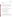systems audit may also be performed by EPA Quality Management staff during the verification test, at EPA's discretion.

#### **6.2.3 Audit of Data Quality**

At least 10% percent of the data acquired during the verification test will be audited during the verification test. Battelle's Quality Manager will trace the data from the initial acquisition, through reduction and statistical analysis, to final reporting, to ensure the integrity of the reported results. All calculations performed on the data undergoing the audit will be checked.

#### **6.3 QA/QC Reporting**

Each assessment and audit will be documented in accordance with Section 2.9.7 of the QMP for the AMS Center. The results of the technical systems audit and the audit of data quality will be sent to the EPA. Assessment reports will include the following:

- Identification of any adverse findings or potential problems
- Response to adverse findings or potential problems
- Recommendations for resolving problems
- Confirmation that solutions have been implemented and are effective
- Citation of any noteworthy practices that may be of use to others

#### **6.4 Corrective Action**

The Battelle or EPA Quality Managers during the course of any assessment or audit will identify to the technical staff performing experimental activities any immediate corrective action that should be taken. If serious quality problems exist, the Battelle Quality Manager is authorized to stop work. Once the assessment report has been prepared, the Verification Test Coordinator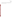will ensure that a response is provided for each adverse finding or potential problem, and will implement any necessary follow-up corrective action. The Battelle Quality Manager will ensure that follow-up corrective action has been taken.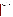## **7.0 REFERENCES**

- 1. Quality Management Plan (QMP) for the ETV Advanced Monitoring Systems Pilot, U.S. EPA Environmental Technology Verification Program, prepared by Battelle, Columbus, Ohio, September 1998.
- 2. U.S. EPA Method 200.8, Determination of Trace Elements in Waters and Wastes by Inductively Coupled Plasma-Mass Spectrometry, Revision 4.4, April 1991.
- 3. U.S. Code of Federal Regulations title 40 Part 136 Appendix B.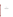## **APPENDIX A**

## **SUMMARY OF TEST SAMPLES FOR SELECTED ANALYTES**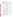| <b>Type of Sample</b>  | <b>Sample Characteristics</b>                                    | Concentration                                                 | No. of<br><b>Samples</b> |
|------------------------|------------------------------------------------------------------|---------------------------------------------------------------|--------------------------|
|                        | RB <sup>b</sup>                                                  | $\sim 0$                                                      | 10% of all               |
| <b>Quality Control</b> | LFM <sup>b</sup>                                                 | 30 ppb                                                        | 1 per site               |
|                        | QCS <sup>b</sup>                                                 | 30 ppb                                                        | 10% of all               |
|                        | For the determination of<br>detection limit                      | Five times the<br>manufacturer's estimated<br>detection limit | 7                        |
|                        | Lead                                                             | $1.5$ ppb                                                     | $\overline{4}$           |
|                        | Lead                                                             | 5 ppb                                                         | $\overline{4}$           |
| Performance            | Lead                                                             | $15$ ppb $\textdegree$                                        | $\overline{4}$           |
| <b>Test</b>            | Lead                                                             | 45 ppb                                                        | $\overline{4}$           |
|                        | Lead                                                             | 150 ppb                                                       | $\overline{4}$           |
|                        | Analyte spiked with<br>interference                              | 45 ppb with low<br>interference                               | 8                        |
|                        | Analyte spiked with<br>interference                              | 45 ppb with high<br>interference                              | 8                        |
|                        | Drinking fountain                                                | Unknown                                                       | $\overline{4}$           |
|                        | Community water                                                  | Unknown                                                       | $\overline{4}$           |
|                        | Well water                                                       | Unknown                                                       | $\overline{4}$           |
| Environmental          | Alum Creek Reservoir                                             | Unknown                                                       | $\overline{4}$           |
|                        | <b>Olentangy River</b>                                           | Unknown                                                       | 4                        |
|                        | <b>Scioto River</b>                                              | Unknown                                                       | $\overline{4}$           |
|                        | Massachusetts Bay surface<br>water                               | Unknown                                                       | $\overline{4}$           |
|                        | Massachusetts Bay water at<br>sediment/water column<br>interface | Unknown                                                       | $\overline{4}$           |

Table A-1. Summary of Test Samples<sup>a</sup> for Lead

<sup>a</sup> Listing is for clarity; samples will be analyzed in randomized order for the verification testing.

 $b<sup>b</sup>$  See Section 2.3.1 for descriptions of these samples.

 $\rm ^c$  MCL for lead.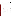| <b>Type of Sample</b>  | <b>Sample Characteristics</b>                                    | Concentration                                                 | No. of<br><b>Samples</b> |
|------------------------|------------------------------------------------------------------|---------------------------------------------------------------|--------------------------|
|                        | RB <sup>b</sup>                                                  | $\sim 0$                                                      | 10% of all               |
| <b>Quality Control</b> | LFM <sup>b</sup>                                                 | 2 ppb above native level                                      | 1 per site               |
|                        | $QCS^b$                                                          | 2 ppb                                                         | 10% of all               |
|                        | For the determination of<br>detection limit for nitrate          | Five times the<br>manufacturer's estimated<br>detection limit | 7                        |
|                        | Nitrate                                                          | $0.2$ ppb                                                     | $\overline{4}$           |
|                        | Nitrate                                                          | $0.6$ ppb                                                     | $\overline{4}$           |
| Performance            | Nitrate                                                          | $2.0$ ppb                                                     | $\overline{4}$           |
| Test                   | Nitrate                                                          | $6.0$ ppb                                                     | $\overline{4}$           |
|                        | Nitrate                                                          | 20 ppb                                                        | $\overline{4}$           |
|                        | Analyte spiked with<br>interference                              | 3.0 ppb with low<br>interference                              | 8                        |
|                        | Analyte spiked with<br>interference                              | 3.0 ppb with high<br>interference                             | 8                        |
|                        | Drinking fountain                                                | Unknown                                                       | $\overline{4}$           |
|                        | Community water                                                  | Unknown                                                       | $\overline{4}$           |
|                        | Well water                                                       | Unknown                                                       | $\overline{4}$           |
| Environmental          | Alum Creek Reservoir                                             | Unknown                                                       | 4                        |
|                        | <b>Olentangy River</b>                                           | Unknown                                                       | $\overline{4}$           |
|                        | Scioto River                                                     | Unknown                                                       | $\overline{4}$           |
|                        | Massachusetts Bay surface<br>water                               | Unknown                                                       | $\overline{4}$           |
|                        | Massachusetts Bay water at<br>sediment/water column<br>interface | Unknown                                                       | $\overline{4}$           |

Table A-2. Summary of Test Samples<sup>a</sup> for Nitrate

<sup>a</sup> Listing is for clarity; samples will be analyzed in randomized order for the verification testing.

 $b$  See Section 2.3.1 for descriptions of these samples.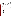| <b>Type of Sample</b>  | <b>Sample Characteristics</b>                                    | <b>Concentration</b>                                          | No. of<br><b>Samples</b> |
|------------------------|------------------------------------------------------------------|---------------------------------------------------------------|--------------------------|
|                        | RB <sup>b</sup>                                                  | $\sim 0$                                                      | 10% of all               |
| <b>Quality Control</b> | LFM <sup>b</sup>                                                 | 10 ppb above native level                                     | 1 per site               |
|                        | QCS <sup>b</sup>                                                 | $10$ ppb                                                      | 10% of all               |
|                        | For the determination of<br>detection limit                      | Five times the<br>manufacturer's estimated<br>detection limit | 7                        |
|                        | Arsenic                                                          | 1 ppb                                                         | $\overline{4}$           |
|                        | Arsenic                                                          | 3 ppb                                                         | $\overline{4}$           |
| Performance            | Arsenic                                                          | $10$ ppb $\textdegree$                                        | $\overline{4}$           |
| <b>Test</b>            | Arsenic                                                          | 30 ppb                                                        | $\overline{4}$           |
|                        | Arsenic                                                          | 100 ppb                                                       | $\overline{4}$           |
|                        | Analyte spiked with<br>interference                              | 10 ppb with low<br>interference                               | 8                        |
|                        | Analyte spiked with<br>interference                              | 10 ppb with high<br>interference                              | 8                        |
|                        | Drinking fountain                                                | Unknown                                                       | $\overline{4}$           |
|                        | Community water                                                  | Unknown                                                       | $\overline{4}$           |
|                        | Well water                                                       | Unknown                                                       | $\overline{4}$           |
| Environmental          | Alum Creek Reservoir                                             | Unknown                                                       | $\overline{4}$           |
|                        | <b>Olentangy River</b>                                           | Unknown                                                       | 4                        |
|                        | <b>Scioto River</b>                                              | Unknown                                                       | $\overline{4}$           |
|                        | Massachusetts Bay surface<br>water                               | Unknown                                                       | $\overline{4}$           |
|                        | Massachusetts Bay water at<br>sediment/water column<br>interface | Unknown                                                       | $\overline{4}$           |

Table A-3. Summary of Test Samples<sup>a</sup> for Arsenic

<sup>a</sup> Listing is for clarity; samples will be analyzed in randomized order for the verification testing.

 $b$  See Section 2.3.1 for descriptions of these samples.

c WHO Provisional Guideline Value for arsenic in drinking water.